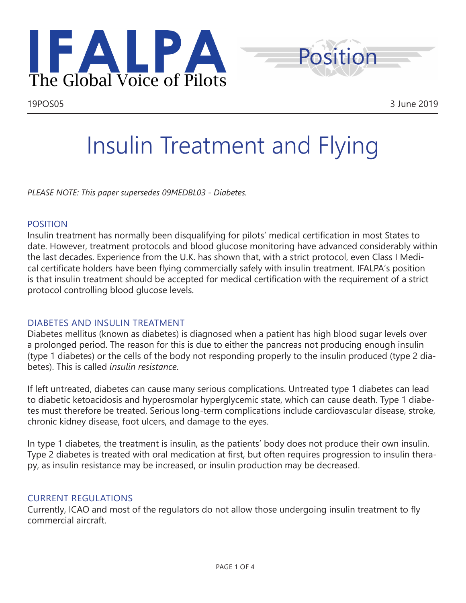



# Insulin Treatment and Flying

*PLEASE NOTE: This paper supersedes 09MEDBL03 - Diabetes.*

## POSITION

Insulin treatment has normally been disqualifying for pilots' medical certification in most States to date. However, treatment protocols and blood glucose monitoring have advanced considerably within the last decades. Experience from the U.K. has shown that, with a strict protocol, even Class I Medical certificate holders have been flying commercially safely with insulin treatment. IFALPA's position is that insulin treatment should be accepted for medical certification with the requirement of a strict protocol controlling blood glucose levels.

# DIABETES AND INSULIN TREATMENT

Diabetes mellitus (known as diabetes) is diagnosed when a patient has high blood sugar levels over a prolonged period. The reason for this is due to either the pancreas not producing enough insulin (type 1 diabetes) or the cells of the body not responding properly to the insulin produced (type 2 diabetes). This is called *insulin resistance*.

If left untreated, diabetes can cause many serious complications. Untreated type 1 diabetes can lead to diabetic ketoacidosis and hyperosmolar hyperglycemic state, which can cause death. Type 1 diabetes must therefore be treated. Serious long-term complications include cardiovascular disease, stroke, chronic kidney disease, foot ulcers, and damage to the eyes.

In type 1 diabetes, the treatment is insulin, as the patients' body does not produce their own insulin. Type 2 diabetes is treated with oral medication at first, but often requires progression to insulin therapy, as insulin resistance may be increased, or insulin production may be decreased.

# CURRENT REGULATIONS

Currently, ICAO and most of the regulators do not allow those undergoing insulin treatment to fly commercial aircraft.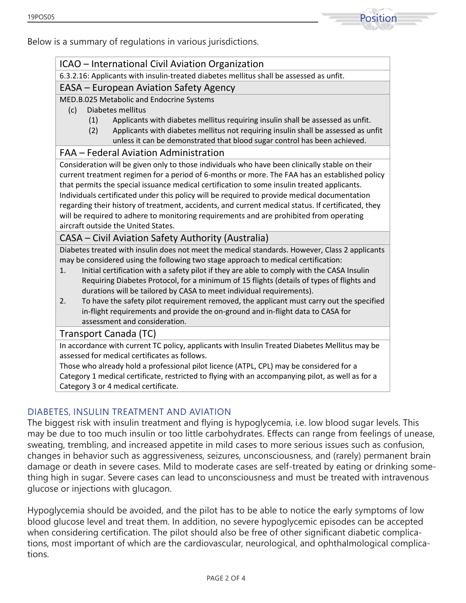

Below is a summary of regulations in various jurisdictions.

## ICAO – International Civil Aviation Organization

6.3.2.16: Applicants with insulin-treated diabetes mellitus shall be assessed as unfit.

#### EASA – European Aviation Safety Agency

MED.B.025 Metabolic and Endocrine Systems

- (c) Diabetes mellitus
	- (1) Applicants with diabetes mellitus requiring insulin shall be assessed as unfit.
	- (2) Applicants with diabetes mellitus not requiring insulin shall be assessed as unfit unless it can be demonstrated that blood sugar control has been achieved.

#### FAA – Federal Aviation Administration

Consideration will be given only to those individuals who have been clinically stable on their current treatment regimen for a period of 6-months or more. The FAA has an established policy that permits the special issuance medical certification to some insulin treated applicants. Individuals certificated under this policy will be required to provide medical documentation regarding their history of treatment, accidents, and current medical status. If certificated, they will be required to adhere to monitoring requirements and are prohibited from operating aircraft outside the United States.

## CASA – Civil Aviation Safety Authority (Australia)

Diabetes treated with insulin does not meet the medical standards. However, Class 2 applicants may be considered using the following two stage approach to medical certification:

- 1. Initial certification with a safety pilot if they are able to comply with the CASA Insulin Requiring Diabetes Protocol, for a minimum of 15 flights (details of types of flights and durations will be tailored by CASA to meet individual requirements).
- 2. To have the safety pilot requirement removed, the applicant must carry out the specified in-flight requirements and provide the on-ground and in-flight data to CASA for assessment and consideration.

#### Transport Canada (TC)

In accordance with current TC policy, applicants with Insulin Treated Diabetes Mellitus may be assessed for medical certificates as follows.

Those who already hold a professional pilot licence (ATPL, CPL) may be considered for a Category 1 medical certificate, restricted to flying with an accompanying pilot, as well as for a Category 3 or 4 medical certificate.

# DIABETES, INSULIN TREATMENT AND AVIATION

The biggest risk with insulin treatment and flying is hypoglycemia, i.e. low blood sugar levels. This may be due to too much insulin or too little carbohydrates. Effects can range from feelings of unease, sweating, trembling, and increased appetite in mild cases to more serious issues such as confusion, changes in behavior such as aggressiveness, seizures, unconsciousness, and (rarely) permanent brain damage or death in severe cases. Mild to moderate cases are self-treated by eating or drinking something high in sugar. Severe cases can lead to unconsciousness and must be treated with intravenous glucose or injections with glucagon.

Hypoglycemia should be avoided, and the pilot has to be able to notice the early symptoms of low blood glucose level and treat them. In addition, no severe hypoglycemic episodes can be accepted when considering certification. The pilot should also be free of other significant diabetic complications, most important of which are the cardiovascular, neurological, and ophthalmological complications.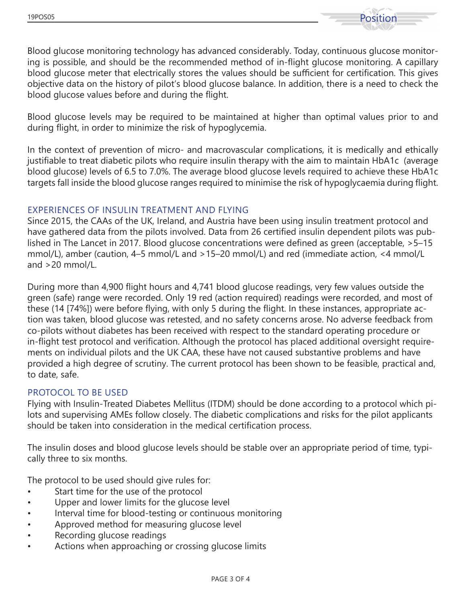

Blood glucose monitoring technology has advanced considerably. Today, continuous glucose monitoring is possible, and should be the recommended method of in-flight glucose monitoring. A capillary blood glucose meter that electrically stores the values should be sufficient for certification. This gives objective data on the history of pilot's blood glucose balance. In addition, there is a need to check the blood glucose values before and during the flight.

Blood glucose levels may be required to be maintained at higher than optimal values prior to and during flight, in order to minimize the risk of hypoglycemia.

In the context of prevention of micro- and macrovascular complications, it is medically and ethically justifiable to treat diabetic pilots who require insulin therapy with the aim to maintain HbA1c (average blood glucose) levels of 6.5 to 7.0%. The average blood glucose levels required to achieve these HbA1c targets fall inside the blood glucose ranges required to minimise the risk of hypoglycaemia during flight.

## EXPERIENCES OF INSULIN TREATMENT AND FLYING

Since 2015, the CAAs of the UK, Ireland, and Austria have been using insulin treatment protocol and have gathered data from the pilots involved. Data from 26 certified insulin dependent pilots was published in The Lancet in 2017. Blood glucose concentrations were defined as green (acceptable, >5–15 mmol/L), amber (caution, 4–5 mmol/L and >15–20 mmol/L) and red (immediate action, <4 mmol/L and >20 mmol/L.

During more than 4,900 flight hours and 4,741 blood glucose readings, very few values outside the green (safe) range were recorded. Only 19 red (action required) readings were recorded, and most of these (14 [74%]) were before flying, with only 5 during the flight. In these instances, appropriate action was taken, blood glucose was retested, and no safety concerns arose. No adverse feedback from co-pilots without diabetes has been received with respect to the standard operating procedure or in-flight test protocol and verification. Although the protocol has placed additional oversight requirements on individual pilots and the UK CAA, these have not caused substantive problems and have provided a high degree of scrutiny. The current protocol has been shown to be feasible, practical and, to date, safe.

#### PROTOCOL TO BE USED

Flying with Insulin-Treated Diabetes Mellitus (ITDM) should be done according to a protocol which pilots and supervising AMEs follow closely. The diabetic complications and risks for the pilot applicants should be taken into consideration in the medical certification process.

The insulin doses and blood glucose levels should be stable over an appropriate period of time, typically three to six months.

The protocol to be used should give rules for:

- Start time for the use of the protocol
- Upper and lower limits for the glucose level
- Interval time for blood-testing or continuous monitoring
- Approved method for measuring glucose level
- Recording glucose readings
- Actions when approaching or crossing glucose limits